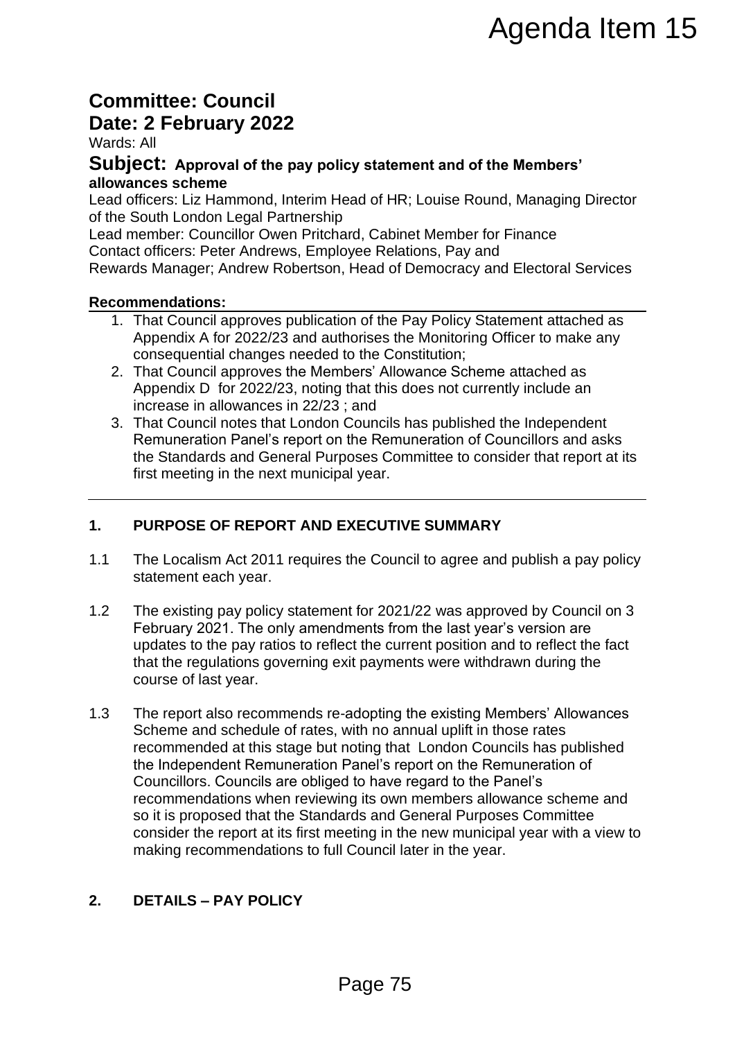# **Committee: Council Date: 2 February 2022**

Wards: All

### **Subject: Approval of the pay policy statement and of the Members' allowances scheme**

Lead officers: Liz Hammond, Interim Head of HR; Louise Round, Managing Director of the South London Legal Partnership

Lead member: Councillor Owen Pritchard, Cabinet Member for Finance Contact officers: Peter Andrews, Employee Relations, Pay and

Rewards Manager; Andrew Robertson, Head of Democracy and Electoral Services

#### **Recommendations:**

- 1. That Council approves publication of the Pay Policy Statement attached as Appendix A for 2022/23 and authorises the Monitoring Officer to make any consequential changes needed to the Constitution;
- 2. That Council approves the Members' Allowance Scheme attached as Appendix D for 2022/23, noting that this does not currently include an increase in allowances in 22/23 ; and
- 3. That Council notes that London Councils has published the Independent Remuneration Panel's report on the Remuneration of Councillors and asks the Standards and General Purposes Committee to consider that report at its first meeting in the next municipal year.

# **1. PURPOSE OF REPORT AND EXECUTIVE SUMMARY**

- 1.1 The Localism Act 2011 requires the Council to agree and publish a pay policy statement each year.
- 1.2 The existing pay policy statement for 2021/22 was approved by Council on 3 February 2021. The only amendments from the last year's version are updates to the pay ratios to reflect the current position and to reflect the fact that the regulations governing exit payments were withdrawn during the course of last year.
- 1.3 The report also recommends re-adopting the existing Members' Allowances Scheme and schedule of rates, with no annual uplift in those rates recommended at this stage but noting that London Councils has published the Independent Remuneration Panel's report on the Remuneration of Councillors. Councils are obliged to have regard to the Panel's recommendations when reviewing its own members allowance scheme and so it is proposed that the Standards and General Purposes Committee consider the report at its first meeting in the new municipal year with a view to making recommendations to full Council later in the year. **Example 15**<br> **Page 75**<br> **Page 75**<br> **Page 75**<br> **Page 75**<br> **Page 75**<br> **Page 75**<br> **Page 75**<br> **Page 75**<br> **Page 75**<br> **Page 75**<br> **Page 75**<br> **Page 75**<br> **Page 75**<br> **Page 75**<br> **Page 75**<br> **Page 75**<br> **Page 75**<br> **Page 75**<br> **Page 75**<br>

# **2. DETAILS – PAY POLICY**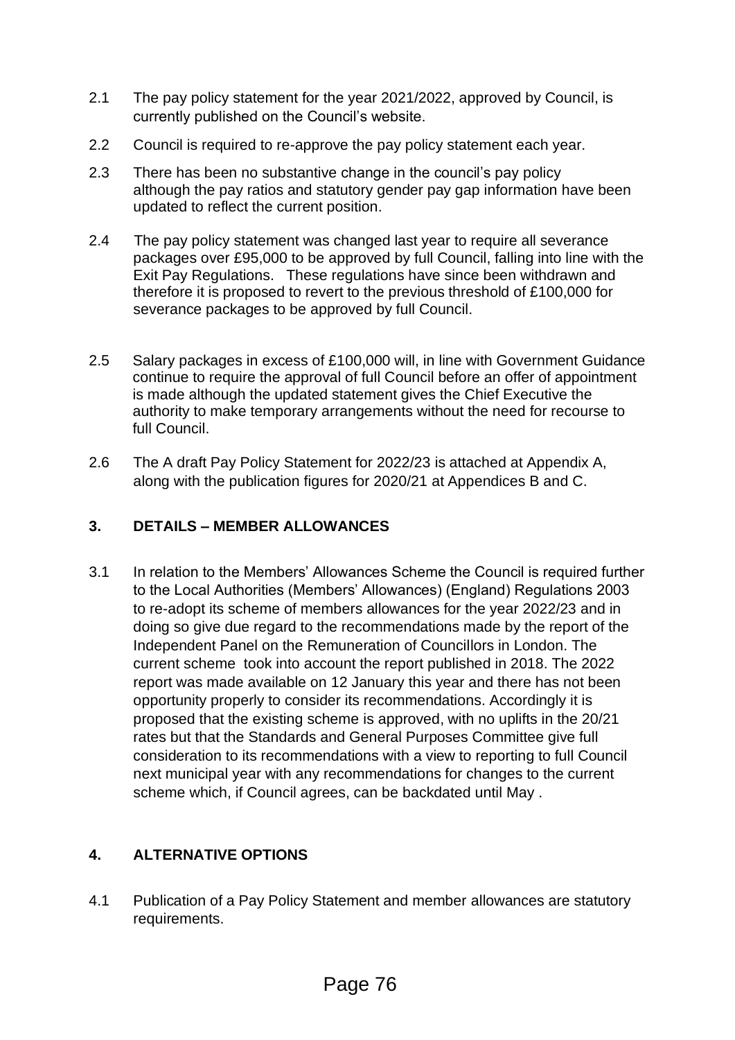- 2.1 The pay policy statement for the year 2021/2022, approved by Council, is currently published on the Council's website.
- 2.2 Council is required to re-approve the pay policy statement each year.
- 2.3 There has been no substantive change in the council's pay policy although the pay ratios and statutory gender pay gap information have been updated to reflect the current position.
- 2.4 The pay policy statement was changed last year to require all severance packages over £95,000 to be approved by full Council, falling into line with the Exit Pay Regulations. These regulations have since been withdrawn and therefore it is proposed to revert to the previous threshold of £100,000 for severance packages to be approved by full Council.
- 2.5 Salary packages in excess of £100,000 will, in line with Government Guidance continue to require the approval of full Council before an offer of appointment is made although the updated statement gives the Chief Executive the authority to make temporary arrangements without the need for recourse to full Council.
- 2.6 The A draft Pay Policy Statement for 2022/23 is attached at Appendix A, along with the publication figures for 2020/21 at Appendices B and C.

# **3. DETAILS – MEMBER ALLOWANCES**

3.1 In relation to the Members' Allowances Scheme the Council is required further to the Local Authorities (Members' Allowances) (England) Regulations 2003 to re-adopt its scheme of members allowances for the year 2022/23 and in doing so give due regard to the recommendations made by the report of the Independent Panel on the Remuneration of Councillors in London. The current scheme took into account the report published in 2018. The 2022 report was made available on 12 January this year and there has not been opportunity properly to consider its recommendations. Accordingly it is proposed that the existing scheme is approved, with no uplifts in the 20/21 rates but that the Standards and General Purposes Committee give full consideration to its recommendations with a view to reporting to full Council next municipal year with any recommendations for changes to the current scheme which, if Council agrees, can be backdated until May .

# **4. ALTERNATIVE OPTIONS**

4.1 Publication of a Pay Policy Statement and member allowances are statutory requirements.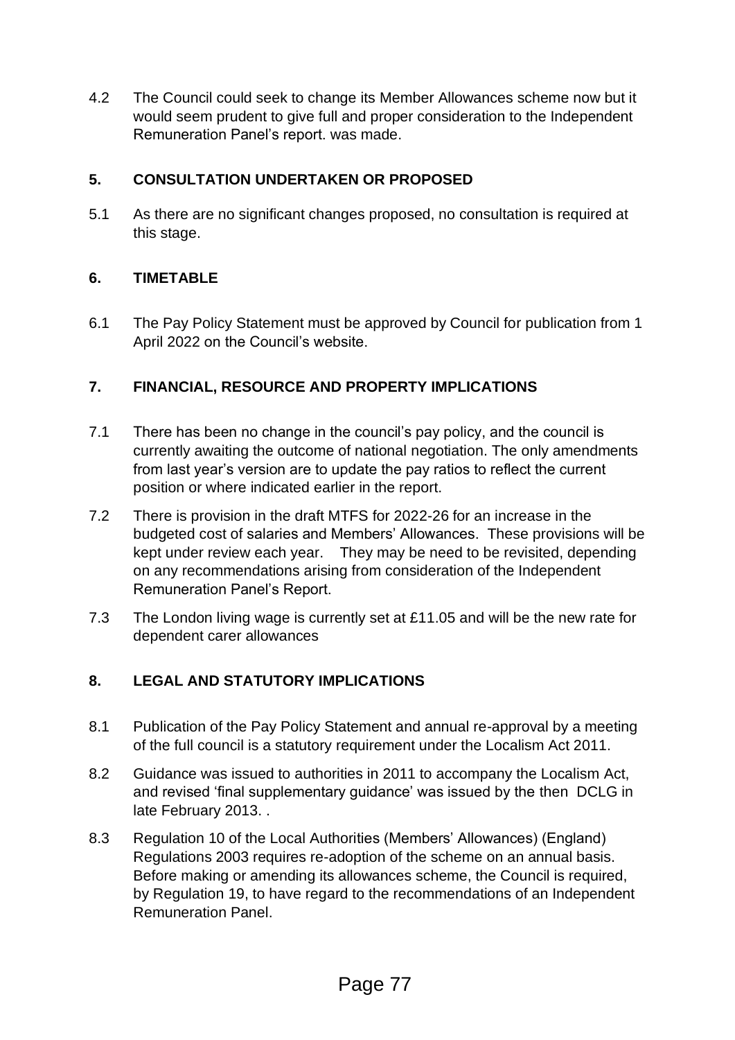4.2 The Council could seek to change its Member Allowances scheme now but it would seem prudent to give full and proper consideration to the Independent Remuneration Panel's report. was made.

# **5. CONSULTATION UNDERTAKEN OR PROPOSED**

5.1 As there are no significant changes proposed, no consultation is required at this stage.

# **6. TIMETABLE**

6.1 The Pay Policy Statement must be approved by Council for publication from 1 April 2022 on the Council's website.

# **7. FINANCIAL, RESOURCE AND PROPERTY IMPLICATIONS**

- 7.1 There has been no change in the council's pay policy, and the council is currently awaiting the outcome of national negotiation. The only amendments from last year's version are to update the pay ratios to reflect the current position or where indicated earlier in the report.
- 7.2 There is provision in the draft MTFS for 2022-26 for an increase in the budgeted cost of salaries and Members' Allowances. These provisions will be kept under review each year. They may be need to be revisited, depending on any recommendations arising from consideration of the Independent Remuneration Panel's Report.
- 7.3 The London living wage is currently set at £11.05 and will be the new rate for dependent carer allowances

# **8. LEGAL AND STATUTORY IMPLICATIONS**

- 8.1 Publication of the Pay Policy Statement and annual re-approval by a meeting of the full council is a statutory requirement under the Localism Act 2011.
- 8.2 Guidance was issued to authorities in 2011 to accompany the Localism Act, and revised 'final supplementary guidance' was issued by the then DCLG in late February 2013. .
- 8.3 Regulation 10 of the Local Authorities (Members' Allowances) (England) Regulations 2003 requires re-adoption of the scheme on an annual basis. Before making or amending its allowances scheme, the Council is required, by Regulation 19, to have regard to the recommendations of an Independent Remuneration Panel.